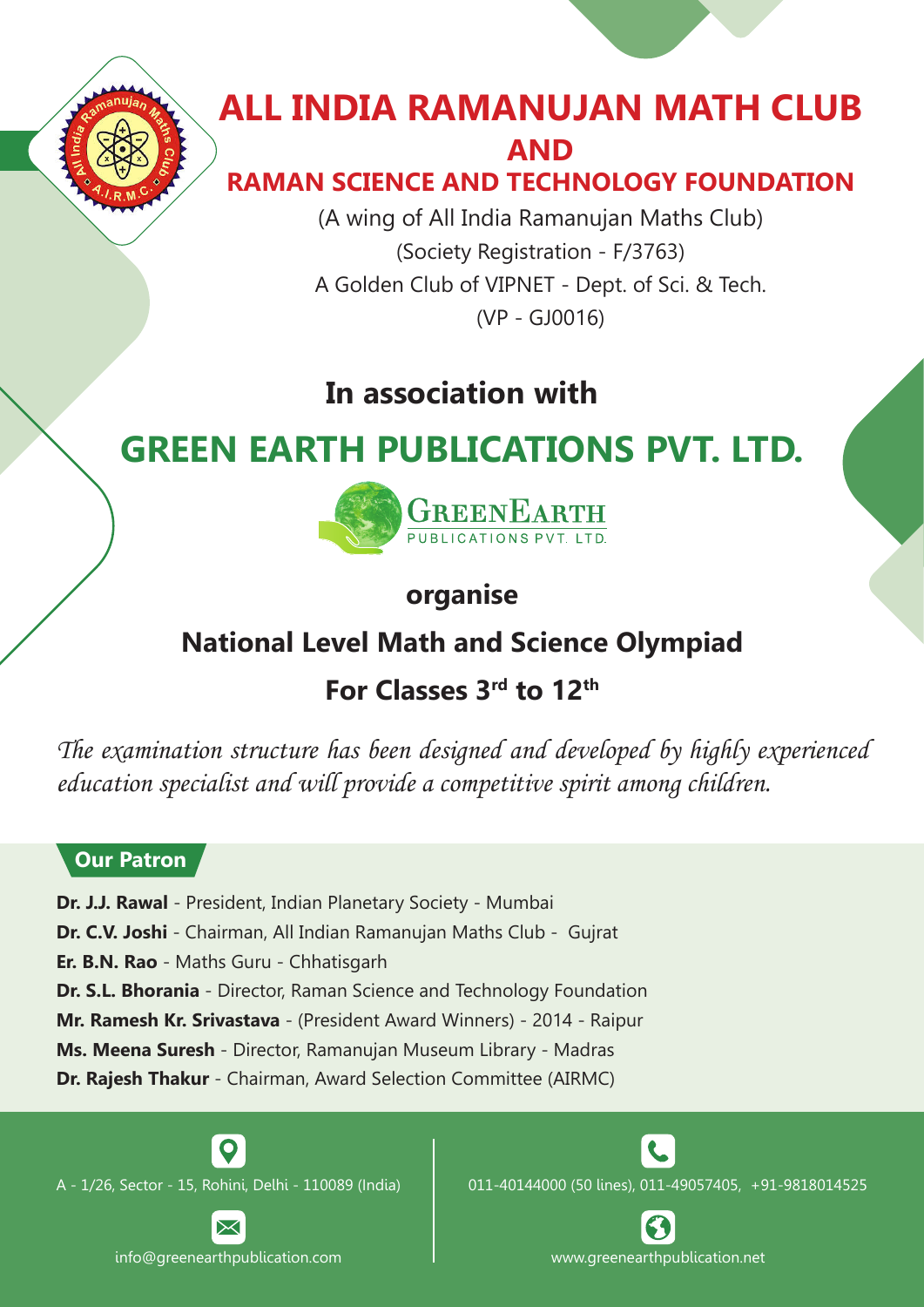

## **ALL INDIA RAMANUJAN MATH CLUB AND**

### **RAMAN SCIENCE AND TECHNOLOGY FOUNDATION**

(A wing of All India Ramanujan Maths Club) (Society Registration - F/3763) A Golden Club of VIPNET - Dept. of Sci. & Tech. (VP - GJ0016)

### **In association with**

# **GREEN EARTH PUBLICATIONS PVT. LTD.**



### **organise**

### **National Level Math and Science Olympiad**

### **For Classes 3rd to 12th**

*The examination structure has been designed and developed by highly experienced education specialist and will provide a competitive spirit among children.*

### **Our Patron**

**Dr. J.J. Rawal** - President, Indian Planetary Society - Mumbai **Dr. C.V. Joshi** - Chairman, All Indian Ramanujan Maths Club - Gujrat **Er. B.N. Rao** - Maths Guru - Chhatisgarh **Dr. S.L. Bhorania** - Director, Raman Science and Technology Foundation **Mr. Ramesh Kr. Srivastava** - (President Award Winners) - 2014 - Raipur **Ms. Meena Suresh** - Director, Ramanujan Museum Library - Madras **Dr. Rajesh Thakur** - Chairman, Award Selection Committee (AIRMC)

info@greenearthpublication.com www.greenearthpublication.net

A - 1/26, Sector - 15, Rohini, Delhi - 110089 (India) 011-40144000 (50 lines), 011-49057405, +91-9818014525